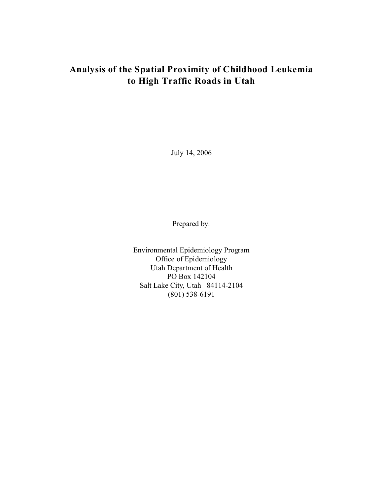July 14, 2006

Prepared by:

Environmental Epidemiology Program Office of Epidemiology Utah Department of Health PO Box 142104 Salt Lake City, Utah 84114-2104 (801) 538-6191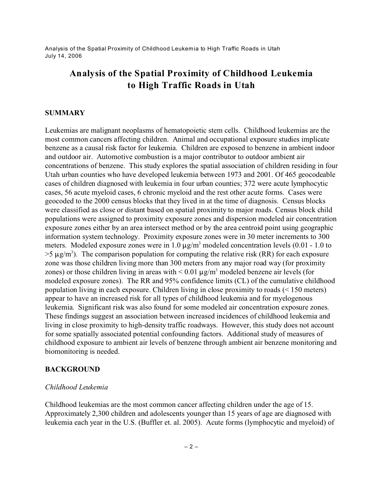# **Analysis of the Spatial Proximity of Childhood Leukemia to High Traffic Roads in Utah**

#### **SUMMARY**

Leukemias are malignant neoplasms of hematopoietic stem cells. Childhood leukemias are the most common cancers affecting children. Animal and occupational exposure studies implicate benzene as a causal risk factor for leukemia. Children are exposed to benzene in ambient indoor and outdoor air. Automotive combustion is a major contributor to outdoor ambient air concentrations of benzene. This study explores the spatial association of children residing in four Utah urban counties who have developed leukemia between 1973 and 2001. Of 465 geocodeable cases of children diagnosed with leukemia in four urban counties; 372 were acute lymphocytic cases, 56 acute myeloid cases, 6 chronic myeloid and the rest other acute forms. Cases were geocoded to the 2000 census blocks that they lived in at the time of diagnosis. Census blocks were classified as close or distant based on spatial proximity to major roads. Census block child populations were assigned to proximity exposure zones and dispersion modeled air concentration exposure zones either by an area intersect method or by the area centroid point using geographic information system technology. Proximity exposure zones were in 30 meter increments to 300 meters. Modeled exposure zones were in 1.0  $\mu$ g/m<sup>3</sup> modeled concentration levels (0.01 - 1.0 to  $>$ 5  $\mu$ g/m<sup>3</sup>). The comparison population for computing the relative risk (RR) for each exposure zone was those children living more than 300 meters from any major road way (for proximity zones) or those children living in areas with  $\leq 0.01 \mu g/m^3$  modeled benzene air levels (for modeled exposure zones). The RR and 95% confidence limits (CL) of the cumulative childhood population living in each exposure. Children living in close proximity to roads (< 150 meters) appear to have an increased risk for all types of childhood leukemia and for myelogenous leukemia. Significant risk was also found for some modeled air concentration exposure zones. These findings suggest an association between increased incidences of childhood leukemia and living in close proximity to high-density traffic roadways. However, this study does not account for some spatially associated potential confounding factors. Additional study of measures of childhood exposure to ambient air levels of benzene through ambient air benzene monitoring and biomonitoring is needed.

### **BACKGROUND**

#### *Childhood Leukemia*

Childhood leukemias are the most common cancer affecting children under the age of 15. Approximately 2,300 children and adolescents younger than 15 years of age are diagnosed with leukemia each year in the U.S. (Buffler et. al. 2005). Acute forms (lymphocytic and myeloid) of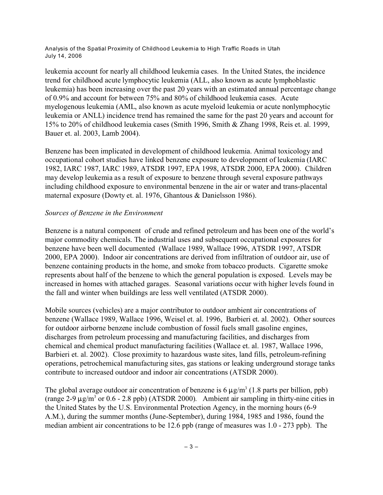leukemia account for nearly all childhood leukemia cases. In the United States, the incidence trend for childhood acute lymphocytic leukemia (ALL, also known as acute lymphoblastic leukemia) has been increasing over the past 20 years with an estimated annual percentage change of 0.9% and account for between 75% and 80% of childhood leukemia cases. Acute myelogenous leukemia (AML, also known as acute myeloid leukemia or acute nonlymphocytic leukemia or ANLL) incidence trend has remained the same for the past 20 years and account for 15% to 20% of childhood leukemia cases (Smith 1996, Smith & Zhang 1998, Reis et. al. 1999, Bauer et. al. 2003, Lamb 2004).

Benzene has been implicated in development of childhood leukemia. Animal toxicology and occupational cohort studies have linked benzene exposure to development of leukemia (IARC 1982, IARC 1987, IARC 1989, ATSDR 1997, EPA 1998, ATSDR 2000, EPA 2000). Children may develop leukemia as a result of exposure to benzene through several exposure pathways including childhood exposure to environmental benzene in the air or water and trans-placental maternal exposure (Dowty et. al. 1976, Ghantous & Danielsson 1986).

#### *Sources of Benzene in the Environment*

Benzene is a natural component of crude and refined petroleum and has been one of the world's major commodity chemicals. The industrial uses and subsequent occupational exposures for benzene have been well documented (Wallace 1989, Wallace 1996, ATSDR 1997, ATSDR 2000, EPA 2000). Indoor air concentrations are derived from infiltration of outdoor air, use of benzene containing products in the home, and smoke from tobacco products. Cigarette smoke represents about half of the benzene to which the general population is exposed. Levels may be increased in homes with attached garages. Seasonal variations occur with higher levels found in the fall and winter when buildings are less well ventilated (ATSDR 2000).

Mobile sources (vehicles) are a major contributor to outdoor ambient air concentrations of benzene (Wallace 1989, Wallace 1996, Weisel et. al. 1996, Barbieri et. al. 2002). Other sources for outdoor airborne benzene include combustion of fossil fuels small gasoline engines, discharges from petroleum processing and manufacturing facilities, and discharges from chemical and chemical product manufacturing facilities (Wallace et. al. 1987, Wallace 1996, Barbieri et. al. 2002). Close proximity to hazardous waste sites, land fills, petroleum-refining operations, petrochemical manufacturing sites, gas stations or leaking underground storage tanks contribute to increased outdoor and indoor air concentrations (ATSDR 2000).

The global average outdoor air concentration of benzene is  $6 \mu g/m^3$  (1.8 parts per billion, ppb) (range 2-9  $\mu$ g/m<sup>3</sup> or 0.6 - 2.8 ppb) (ATSDR 2000). Ambient air sampling in thirty-nine cities in the United States by the U.S. Environmental Protection Agency, in the morning hours (6-9 A.M.), during the summer months (June-September), during 1984, 1985 and 1986, found the median ambient air concentrations to be 12.6 ppb (range of measures was 1.0 - 273 ppb). The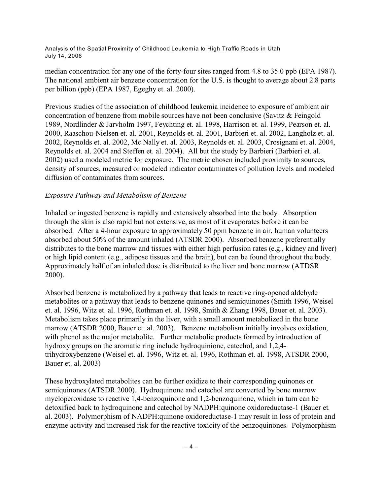median concentration for any one of the forty-four sites ranged from 4.8 to 35.0 ppb (EPA 1987). The national ambient air benzene concentration for the U.S. is thought to average about 2.8 parts per billion (ppb) (EPA 1987, Egeghy et. al. 2000).

Previous studies of the association of childhood leukemia incidence to exposure of ambient air concentration of benzene from mobile sources have not been conclusive (Savitz & Feingold 1989, Nordlinder & Jarvholm 1997, Feychting et. al. 1998, Harrison et. al. 1999, Pearson et. al. 2000, Raaschou-Nielsen et. al. 2001, Reynolds et. al. 2001, Barbieri et. al. 2002, Langholz et. al. 2002, Reynolds et. al. 2002, Mc Nally et. al. 2003, Reynolds et. al. 2003, Crosignani et. al. 2004, Reynolds et. al. 2004 and Steffen et. al. 2004). All but the study by Barbieri (Barbieri et. al. 2002) used a modeled metric for exposure. The metric chosen included proximity to sources, density of sources, measured or modeled indicator contaminates of pollution levels and modeled diffusion of contaminates from sources.

### *Exposure Pathway and Metabolism of Benzene*

Inhaled or ingested benzene is rapidly and extensively absorbed into the body. Absorption through the skin is also rapid but not extensive, as most of it evaporates before it can be absorbed. After a 4-hour exposure to approximately 50 ppm benzene in air, human volunteers absorbed about 50% of the amount inhaled (ATSDR 2000). Absorbed benzene preferentially distributes to the bone marrow and tissues with either high perfusion rates (e.g., kidney and liver) or high lipid content (e.g., adipose tissues and the brain), but can be found throughout the body. Approximately half of an inhaled dose is distributed to the liver and bone marrow (ATDSR 2000).

Absorbed benzene is metabolized by a pathway that leads to reactive ring-opened aldehyde metabolites or a pathway that leads to benzene quinones and semiquinones (Smith 1996, Weisel et. al. 1996, Witz et. al. 1996, Rothman et. al. 1998, Smith & Zhang 1998, Bauer et. al. 2003). Metabolism takes place primarily in the liver, with a small amount metabolized in the bone marrow (ATSDR 2000, Bauer et. al. 2003). Benzene metabolism initially involves oxidation, with phenol as the major metabolite. Further metabolic products formed by introduction of hydroxy groups on the aromatic ring include hydroquinione, catechol, and 1,2,4 trihydroxybenzene (Weisel et. al. 1996, Witz et. al. 1996, Rothman et. al. 1998, ATSDR 2000, Bauer et. al. 2003)

These hydroxylated metabolites can be further oxidize to their corresponding quinones or semiquinones (ATSDR 2000). Hydroquinone and catechol are converted by bone marrow myeloperoxidase to reactive 1,4-benzoquinone and 1,2-benzoquinone, which in turn can be detoxified back to hydroquinone and catechol by NADPH:quinone oxidoreductase-1 (Bauer et. al. 2003). Polymorphism of NADPH:quinone oxidoreductase-1 may result in loss of protein and enzyme activity and increased risk for the reactive toxicity of the benzoquinones. Polymorphism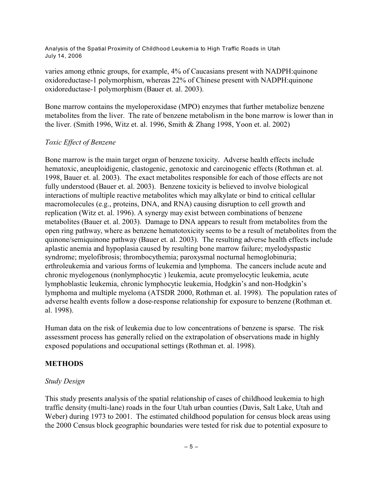varies among ethnic groups, for example, 4% of Caucasians present with NADPH:quinone oxidoreductase-1 polymorphism, whereas 22% of Chinese present with NADPH:quinone oxidoreductase-1 polymorphism (Bauer et. al. 2003).

Bone marrow contains the myeloperoxidase (MPO) enzymes that further metabolize benzene metabolites from the liver. The rate of benzene metabolism in the bone marrow is lower than in the liver. (Smith 1996, Witz et. al. 1996, Smith & Zhang 1998, Yoon et. al. 2002)

### *Toxic Effect of Benzene*

Bone marrow is the main target organ of benzene toxicity. Adverse health effects include hematoxic, aneuploidigenic, clastogenic, genotoxic and carcinogenic effects (Rothman et. al. 1998, Bauer et. al. 2003). The exact metabolites responsible for each of those effects are not fully understood (Bauer et. al. 2003). Benzene toxicity is believed to involve biological interactions of multiple reactive metabolites which may alkylate or bind to critical cellular macromolecules (e.g., proteins, DNA, and RNA) causing disruption to cell growth and replication (Witz et. al. 1996). A synergy may exist between combinations of benzene metabolites (Bauer et. al. 2003). Damage to DNA appears to result from metabolites from the open ring pathway, where as benzene hematotoxicity seems to be a result of metabolites from the quinone/semiquinone pathway (Bauer et. al. 2003). The resulting adverse health effects include aplastic anemia and hypoplasia caused by resulting bone marrow failure; myelodyspastic syndrome; myelofibrosis; thrombocythemia; paroxysmal nocturnal hemoglobinuria; erthroleukemia and various forms of leukemia and lymphoma. The cancers include acute and chronic myelogenous (nonlymphocytic ) leukemia, acute promyelocytic leukemia, acute lymphoblastic leukemia, chronic lymphocytic leukemia, Hodgkin's and non-Hodgkin's lymphoma and multiple myeloma (ATSDR 2000, Rothman et. al. 1998). The population rates of adverse health events follow a dose-response relationship for exposure to benzene (Rothman et. al. 1998).

Human data on the risk of leukemia due to low concentrations of benzene is sparse. The risk assessment process has generally relied on the extrapolation of observations made in highly exposed populations and occupational settings (Rothman et. al. 1998).

### **METHODS**

### *Study Design*

This study presents analysis of the spatial relationship of cases of childhood leukemia to high traffic density (multi-lane) roads in the four Utah urban counties (Davis, Salt Lake, Utah and Weber) during 1973 to 2001. The estimated childhood population for census block areas using the 2000 Census block geographic boundaries were tested for risk due to potential exposure to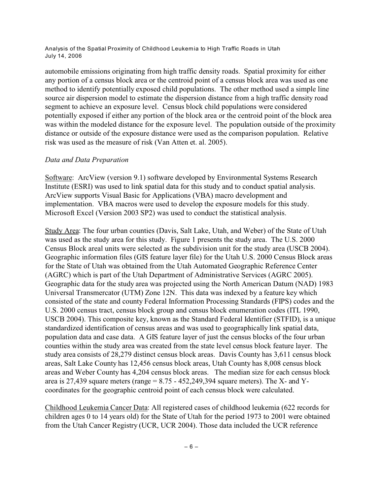automobile emissions originating from high traffic density roads. Spatial proximity for either any portion of a census block area or the centroid point of a census block area was used as one method to identify potentially exposed child populations. The other method used a simple line source air dispersion model to estimate the dispersion distance from a high traffic density road segment to achieve an exposure level. Census block child populations were considered potentially exposed if either any portion of the block area or the centroid point of the block area was within the modeled distance for the exposure level. The population outside of the proximity distance or outside of the exposure distance were used as the comparison population. Relative risk was used as the measure of risk (Van Atten et. al. 2005).

#### *Data and Data Preparation*

Software: ArcView (version 9.1) software developed by Environmental Systems Research Institute (ESRI) was used to link spatial data for this study and to conduct spatial analysis. ArcView supports Visual Basic for Applications (VBA) macro development and implementation. VBA macros were used to develop the exposure models for this study. Microsoft Excel (Version 2003 SP2) was used to conduct the statistical analysis.

Study Area: The four urban counties (Davis, Salt Lake, Utah, and Weber) of the State of Utah was used as the study area for this study. Figure 1 presents the study area. The U.S. 2000 Census Block areal units were selected as the subdivision unit for the study area (USCB 2004). Geographic information files (GIS feature layer file) for the Utah U.S. 2000 Census Block areas for the State of Utah was obtained from the Utah Automated Geographic Reference Center (AGRC) which is part of the Utah Department of Administrative Services (AGRC 2005). Geographic data for the study area was projected using the North American Datum (NAD) 1983 Universal Transmercator (UTM) Zone 12N. This data was indexed by a feature key which consisted of the state and county Federal Information Processing Standards (FIPS) codes and the U.S. 2000 census tract, census block group and census block enumeration codes (ITL 1990, USCB 2004). This composite key, known as the Standard Federal Identifier (STFID), is a unique standardized identification of census areas and was used to geographically link spatial data, population data and case data. A GIS feature layer of just the census blocks of the four urban counties within the study area was created from the state level census block feature layer. The study area consists of 28,279 distinct census block areas. Davis County has 3,611 census block areas, Salt Lake County has 12,456 census block areas, Utah County has 8,008 census block areas and Weber County has 4,204 census block areas. The median size for each census block area is 27,439 square meters (range  $= 8.75 - 452249394$  square meters). The X- and Ycoordinates for the geographic centroid point of each census block were calculated.

Childhood Leukemia Cancer Data: All registered cases of childhood leukemia (622 records for children ages 0 to 14 years old) for the State of Utah for the period 1973 to 2001 were obtained from the Utah Cancer Registry (UCR, UCR 2004). Those data included the UCR reference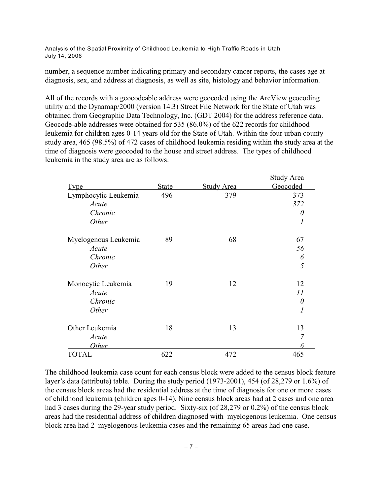number, a sequence number indicating primary and secondary cancer reports, the cases age at diagnosis, sex, and address at diagnosis, as well as site, histology and behavior information.

All of the records with a geocodeable address were geocoded using the ArcView geocoding utility and the Dynamap/2000 (version 14.3) Street File Network for the State of Utah was obtained from Geographic Data Technology, Inc. (GDT 2004) for the address reference data. Geocode-able addresses were obtained for 535 (86.0%) of the 622 records for childhood leukemia for children ages 0-14 years old for the State of Utah. Within the four urban county study area, 465 (98.5%) of 472 cases of childhood leukemia residing within the study area at the time of diagnosis were geocoded to the house and street address. The types of childhood leukemia in the study area are as follows:

|                      |              |                   | <b>Study Area</b> |
|----------------------|--------------|-------------------|-------------------|
| <u>Type</u>          | <b>State</b> | <b>Study Area</b> | Geocoded          |
| Lymphocytic Leukemia | 496          | 379               | 373               |
| Acute                |              |                   | 372               |
| Chronic              |              |                   | 0                 |
| Other                |              |                   | 1                 |
| Myelogenous Leukemia | 89           | 68                | 67                |
| Acute                |              |                   | 56                |
| Chronic              |              |                   | 6                 |
| Other                |              |                   | 5                 |
| Monocytic Leukemia   | 19           | 12                | 12                |
| Acute                |              |                   | 11                |
| Chronic              |              |                   | $\theta$          |
| Other                |              |                   | 1                 |
| Other Leukemia       | 18           | 13                | 13                |
| Acute                |              |                   | 7                 |
| <i>Other</i>         |              |                   | 6                 |
| <b>TOTAL</b>         | 622          | 472               | 465               |

The childhood leukemia case count for each census block were added to the census block feature layer's data (attribute) table. During the study period (1973-2001), 454 (of 28,279 or 1.6%) of the census block areas had the residential address at the time of diagnosis for one or more cases of childhood leukemia (children ages 0-14). Nine census block areas had at 2 cases and one area had 3 cases during the 29-year study period. Sixty-six (of 28,279 or 0.2%) of the census block areas had the residential address of children diagnosed with myelogenous leukemia. One census block area had 2 myelogenous leukemia cases and the remaining 65 areas had one case.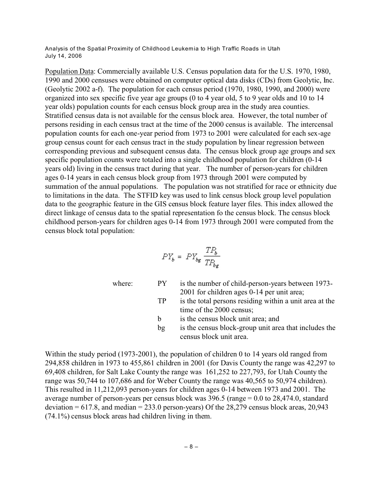Population Data: Commercially available U.S. Census population data for the U.S. 1970, 1980, 1990 and 2000 censuses were obtained on computer optical data disks (CDs) from Geolytic, Inc. (Geolytic 2002 a-f). The population for each census period (1970, 1980, 1990, and 2000) were organized into sex specific five year age groups (0 to 4 year old, 5 to 9 year olds and 10 to 14 year olds) population counts for each census block group area in the study area counties. Stratified census data is not available for the census block area. However, the total number of persons residing in each census tract at the time of the 2000 census is available. The intercensal population counts for each one-year period from 1973 to 2001 were calculated for each sex-age group census count for each census tract in the study population by linear regression between corresponding previous and subsequent census data. The census block group age groups and sex specific population counts were totaled into a single childhood population for children (0-14 years old) living in the census tract during that year. The number of person-years for children ages 0-14 years in each census block group from 1973 through 2001 were computed by summation of the annual populations. The population was not stratified for race or ethnicity due to limitations in the data. The STFID key was used to link census block group level population data to the geographic feature in the GIS census block feature layer files. This index allowed the direct linkage of census data to the spatial representation fo the census block. The census block childhood person-years for children ages 0-14 from 1973 through 2001 were computed from the census block total population:

$$
PY_b = PY_{bg} \frac{TP_b}{TP_{bg}}
$$

where: PY is the number of child-person-years between 1973-2001 for children ages 0-14 per unit area; TP is the total persons residing within a unit area at the time of the 2000 census; b is the census block unit area; and

- 
- bg is the census block-group unit area that includes the census block unit area.

Within the study period (1973-2001), the population of children 0 to 14 years old ranged from 294,858 children in 1973 to 455,861 children in 2001 (for Davis County the range was 42,297 to 69,408 children, for Salt Lake County the range was 161,252 to 227,793, for Utah County the range was 50,744 to 107,686 and for Weber County the range was 40,565 to 50,974 children). This resulted in 11,212,093 person-years for children ages 0-14 between 1973 and 2001. The average number of person-years per census block was 396.5 (range = 0.0 to 28,474.0, standard deviation  $= 617.8$ , and median  $= 233.0$  person-years) Of the 28,279 census block areas, 20,943 (74.1%) census block areas had children living in them.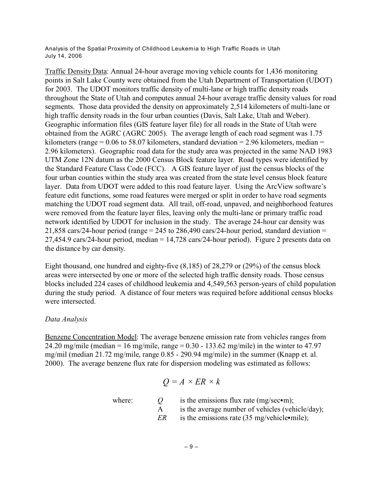Traffic Density Data: Annual 24-hour average moving vehicle counts for 1,436 monitoring points in Salt Lake County were obtained from the Utah Department of Transportation (UDOT) for 2003. The UDOT monitors traffic density of multi-lane or high traffic density roads throughout the State of Utah and computes annual 24-hour average traffic density values for road segments. Those data provided the density on approximately 2,514 kilometers of multi-lane or high traffic density roads in the four urban counties (Davis, Salt Lake, Utah and Weber). Geographic information files (GIS feature layer file) for all roads in the State of Utah were obtained from the AGRC (AGRC 2005). The average length of each road segment was 1.75 kilometers (range =  $0.06$  to 58.07 kilometers, standard deviation = 2.96 kilometers, median = 2.96 kilometers). Geographic road data for the study area was projected in the same NAD 1983 UTM Zone 12N datum as the 2000 Census Block feature layer. Road types were identified by the Standard Feature Class Code (FCC). A GIS feature layer of just the census blocks of the four urban counties within the study area was created from the state level census block feature layer. Data from UDOT were added to this road feature layer. Using the ArcView software's feature edit functions, some road features were merged or split in order to have road segments matching the UDOT road segment data. All trail, off-road, unpaved, and neighborhood features were removed from the feature layer files, leaving only the multi-lane or primary traffic road network identified by UDOT for inclusion in the study. The average 24-hour car density was 21,858 cars/24-hour period (range = 245 to 286,490 cars/24-hour period, standard deviation = 27,454.9 cars/24-hour period, median = 14,728 cars/24-hour period). Figure 2 presents data on the distance by car density.

Eight thousand, one hundred and eighty-five (8,185) of 28,279 or (29%) of the census block areas were intersected by one or more of the selected high traffic density roads. Those census blocks included 224 cases of childhood leukemia and 4,549,563 person-years of child population during the study period. A distance of four meters was required before additional census blocks were intersected.

#### *Data Analysis*

Benzene Concentration Model: The average benzene emission rate from vehicles ranges from 24.20 mg/mile (median = 16 mg/mile, range =  $0.30 - 133.62$  mg/mile) in the winter to 47.97 mg/mil (median 21.72 mg/mile, range 0.85 - 290.94 mg/mile) in the summer (Knapp et. al. 2000). The average benzene flux rate for dispersion modeling was estimated as follows:

$$
Q = A \times ER \times k
$$

where:  $Q$  is the emissions flux rate (mg/sec•m);

- A is the average number of vehicles (vehicle/day);
- *ER* is the emissions rate (35 mg/vehicle•mile);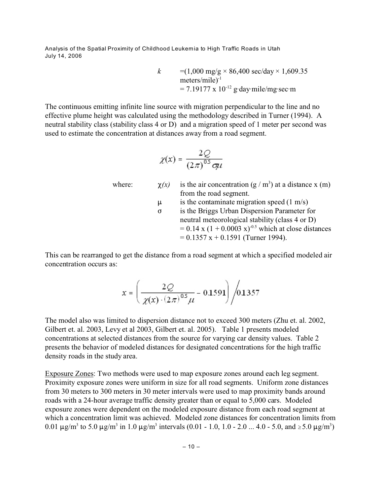> *k* =(1,000 mg/g × 86,400 sec/day × 1,609.35 meters/mile)<sup>-1</sup>  $= 7.19177 \times 10^{-12}$  g day mile/mg sec m

The continuous emitting infinite line source with migration perpendicular to the line and no effective plume height was calculated using the methodology described in Turner (1994). A neutral stability class (stability class 4 or D) and a migration speed of 1 meter per second was used to estimate the concentration at distances away from a road segment.

$$
\chi(x) = \frac{2Q}{(2\pi)^{0.5} \sigma \mu}
$$

- where:  $\chi(x)$  is the air concentration (g / m<sup>3</sup>) at a distance x (m) from the road segment.  $\mu$  is the contaminate migration speed (1 m/s)
	- *F* is the Briggs Urban Dispersion Parameter for neutral meteorological stability (class 4 or D)  $= 0.14$  x  $(1 + 0.0003$  x)<sup>-0.5</sup> which at close distances  $= 0.1357$  x + 0.1591 (Turner 1994).

This can be rearranged to get the distance from a road segment at which a specified modeled air concentration occurs as:

$$
x = \left(\frac{2Q}{\chi(x) \cdot (2\pi)^{0.5} \mu} - 0.1591\right) / 0.1357
$$

The model also was limited to dispersion distance not to exceed 300 meters (Zhu et. al. 2002, Gilbert et. al. 2003, Levy et al 2003, Gilbert et. al. 2005). Table 1 presents modeled concentrations at selected distances from the source for varying car density values. Table 2 presents the behavior of modeled distances for designated concentrations for the high traffic density roads in the study area.

Exposure Zones: Two methods were used to map exposure zones around each leg segment. Proximity exposure zones were uniform in size for all road segments. Uniform zone distances from 30 meters to 300 meters in 30 meter intervals were used to map proximity bands around roads with a 24-hour average traffic density greater than or equal to 5,000 cars. Modeled exposure zones were dependent on the modeled exposure distance from each road segment at which a concentration limit was achieved. Modeled zone distances for concentration limits from 0.01  $\mu$ g/m<sup>3</sup> to 5.0  $\mu$ g/m<sup>3</sup> in 1.0  $\mu$ g/m<sup>3</sup> intervals (0.01 - 1.0, 1.0 - 2.0 ... 4.0 - 5.0, and  $\geq$ 5.0  $\mu$ g/m<sup>3</sup>)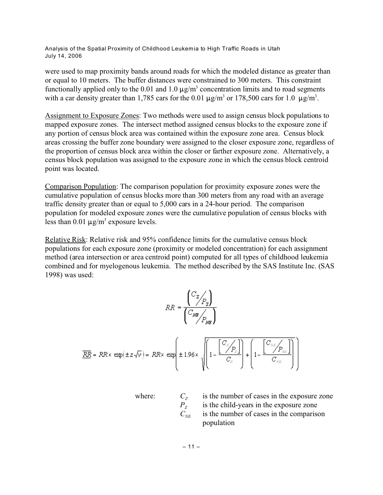were used to map proximity bands around roads for which the modeled distance as greater than or equal to 10 meters. The buffer distances were constrained to 300 meters. This constraint functionally applied only to the 0.01 and 1.0  $\mu$ g/m<sup>3</sup> concentration limits and to road segments with a car density greater than 1,785 cars for the 0.01  $\mu$ g/m<sup>3</sup> or 178,500 cars for 1.0  $\mu$ g/m<sup>3</sup>.

Assignment to Exposure Zones: Two methods were used to assign census block populations to mapped exposure zones. The intersect method assigned census blocks to the exposure zone if any portion of census block area was contained within the exposure zone area. Census block areas crossing the buffer zone boundary were assigned to the closer exposure zone, regardless of the proportion of census block area within the closer or farther exposure zone. Alternatively, a census block population was assigned to the exposure zone in which the census block centroid point was located.

Comparison Population: The comparison population for proximity exposure zones were the cumulative population of census blocks more than 300 meters from any road with an average traffic density greater than or equal to 5,000 cars in a 24-hour period. The comparison population for modeled exposure zones were the cumulative population of census blocks with less than  $0.01 \mu g/m^3$  exposure levels.

Relative Risk: Relative risk and 95% confidence limits for the cumulative census block populations for each exposure zone (proximity or modeled concentration) for each assignment method (area intersection or area centroid point) computed for all types of childhood leukemia combined and for myelogenous leukemia. The method described by the SAS Institute Inc. (SAS 1998) was used:

$$
RR = \frac{\begin{pmatrix} C_Z \\ C_{P_Z} \end{pmatrix}}{\begin{pmatrix} C_{MB} \\ P_{MB} \end{pmatrix}}
$$
  

$$
\overline{RR} = RR \times \exp(\pm z\sqrt{\nu}) = RR \times \exp\left(\pm 1.96 \times \sqrt{\left(1 - \frac{\begin{bmatrix} C_Z \\ C \end{bmatrix}}{C_Z}\right) + \left(1 - \frac{\begin{bmatrix} C_{NE} \\ C \end{bmatrix}}{C_{NE}}\right)}\right)
$$

where:  $C_7$ 

is the number of cases in the exposure zone is the child-years in the exposure zone  $C_{NE}$  is the number of cases in the comparison population

 $P_{Z}$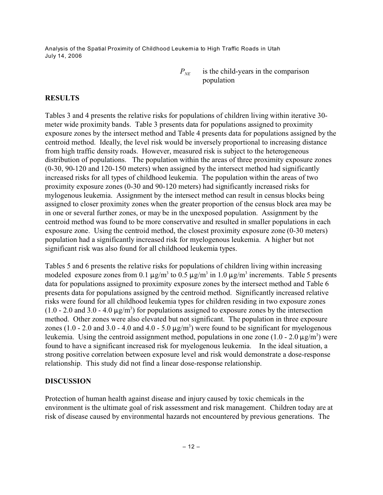> $P_{NE}$  is the child-years in the comparison population

# **RESULTS**

Tables 3 and 4 presents the relative risks for populations of children living within iterative 30 meter wide proximity bands. Table 3 presents data for populations assigned to proximity exposure zones by the intersect method and Table 4 presents data for populations assigned by the centroid method. Ideally, the level risk would be inversely proportional to increasing distance from high traffic density roads. However, measured risk is subject to the heterogeneous distribution of populations. The population within the areas of three proximity exposure zones (0-30, 90-120 and 120-150 meters) when assigned by the intersect method had significantly increased risks for all types of childhood leukemia. The population within the areas of two proximity exposure zones (0-30 and 90-120 meters) had significantly increased risks for mylogenous leukemia. Assignment by the intersect method can result in census blocks being assigned to closer proximity zones when the greater proportion of the census block area may be in one or several further zones, or may be in the unexposed population. Assignment by the centroid method was found to be more conservative and resulted in smaller populations in each exposure zone. Using the centroid method, the closest proximity exposure zone (0-30 meters) population had a significantly increased risk for myelogenous leukemia. A higher but not significant risk was also found for all childhood leukemia types.

Tables 5 and 6 presents the relative risks for populations of children living within increasing modeled exposure zones from 0.1  $\mu$ g/m<sup>3</sup> to 0.5  $\mu$ g/m<sup>3</sup> in 1.0  $\mu$ g/m<sup>3</sup> increments. Table 5 presents data for populations assigned to proximity exposure zones by the intersect method and Table 6 presents data for populations assigned by the centroid method. Significantly increased relative risks were found for all childhood leukemia types for children residing in two exposure zones  $(1.0 - 2.0 \text{ and } 3.0 - 4.0 \text{ }\mu\text{g/m}^3)$  for populations assigned to exposure zones by the intersection method. Other zones were also elevated but not significant. The population in three exposure zones (1.0 - 2.0 and 3.0 - 4.0 and 4.0 - 5.0  $\mu$ g/m<sup>3</sup>) were found to be significant for myelogenous leukemia. Using the centroid assignment method, populations in one zone  $(1.0 - 2.0 \,\mu\text{g/m}^3)$  were found to have a significant increased risk for myelogenous leukemia. In the ideal situation, a strong positive correlation between exposure level and risk would demonstrate a dose-response relationship. This study did not find a linear dose-response relationship.

# **DISCUSSION**

Protection of human health against disease and injury caused by toxic chemicals in the environment is the ultimate goal of risk assessment and risk management. Children today are at risk of disease caused by environmental hazards not encountered by previous generations. The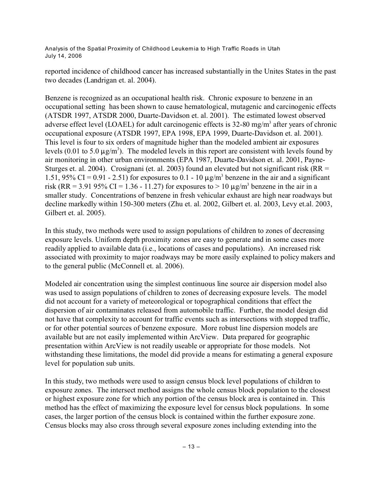reported incidence of childhood cancer has increased substantially in the Unites States in the past two decades (Landrigan et. al. 2004).

Benzene is recognized as an occupational health risk. Chronic exposure to benzene in an occupational setting has been shown to cause hematological, mutagenic and carcinogenic effects (ATSDR 1997, ATSDR 2000, Duarte-Davidson et. al. 2001). The estimated lowest observed adverse effect level (LOAEL) for adult carcinogenic effects is 32-80 mg/m<sup>3</sup> after years of chronic occupational exposure (ATSDR 1997, EPA 1998, EPA 1999, Duarte-Davidson et. al. 2001). This level is four to six orders of magnitude higher than the modeled ambient air exposures levels (0.01 to 5.0  $\mu$ g/m<sup>3</sup>). The modeled levels in this report are consistent with levels found by air monitoring in other urban environments (EPA 1987, Duarte-Davidson et. al. 2001, Payne-Sturges et. al. 2004). Crosignani (et. al. 2003) found an elevated but not significant risk (RR = 1.51, 95% CI = 0.91 - 2.51) for exposures to 0.1 - 10  $\mu$ g/m<sup>3</sup> benzene in the air and a significant risk (RR = 3.91 95% CI = 1.36 - 11.27) for exposures to > 10  $\mu$ g/m<sup>3</sup> benzene in the air in a smaller study. Concentrations of benzene in fresh vehicular exhaust are high near roadways but decline markedly within 150-300 meters (Zhu et. al. 2002, Gilbert et. al. 2003, Levy et.al. 2003, Gilbert et. al. 2005).

In this study, two methods were used to assign populations of children to zones of decreasing exposure levels. Uniform depth proximity zones are easy to generate and in some cases more readily applied to available data (i.e., locations of cases and populations). An increased risk associated with proximity to major roadways may be more easily explained to policy makers and to the general public (McConnell et. al. 2006).

Modeled air concentration using the simplest continuous line source air dispersion model also was used to assign populations of children to zones of decreasing exposure levels. The model did not account for a variety of meteorological or topographical conditions that effect the dispersion of air contaminates released from automobile traffic. Further, the model design did not have that complexity to account for traffic events such as intersections with stopped traffic, or for other potential sources of benzene exposure. More robust line dispersion models are available but are not easily implemented within ArcView. Data prepared for geographic presentation within ArcView is not readily useable or appropriate for those models. Not withstanding these limitations, the model did provide a means for estimating a general exposure level for population sub units.

In this study, two methods were used to assign census block level populations of children to exposure zones. The intersect method assigns the whole census block population to the closest or highest exposure zone for which any portion of the census block area is contained in. This method has the effect of maximizing the exposure level for census block populations. In some cases, the larger portion of the census block is contained within the further exposure zone. Census blocks may also cross through several exposure zones including extending into the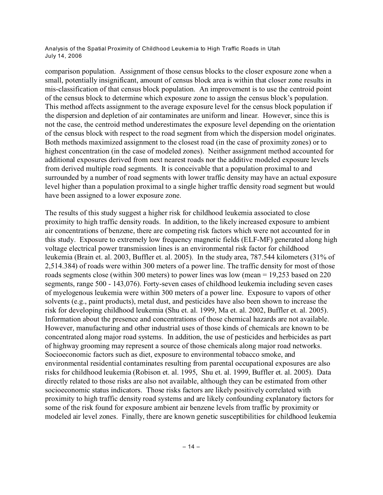comparison population. Assignment of those census blocks to the closer exposure zone when a small, potentially insignificant, amount of census block area is within that closer zone results in mis-classification of that census block population. An improvement is to use the centroid point of the census block to determine which exposure zone to assign the census block's population. This method affects assignment to the average exposure level for the census block population if the dispersion and depletion of air contaminates are uniform and linear. However, since this is not the case, the centroid method underestimates the exposure level depending on the orientation of the census block with respect to the road segment from which the dispersion model originates. Both methods maximized assignment to the closest road (in the case of proximity zones) or to highest concentration (in the case of modeled zones). Neither assignment method accounted for additional exposures derived from next nearest roads nor the additive modeled exposure levels from derived multiple road segments. It is conceivable that a population proximal to and surrounded by a number of road segments with lower traffic density may have an actual exposure level higher than a population proximal to a single higher traffic density road segment but would have been assigned to a lower exposure zone.

The results of this study suggest a higher risk for childhood leukemia associated to close proximity to high traffic density roads. In addition, to the likely increased exposure to ambient air concentrations of benzene, there are competing risk factors which were not accounted for in this study. Exposure to extremely low frequency magnetic fields (ELF-MF) generated along high voltage electrical power transmission lines is an environmental risk factor for childhood leukemia (Brain et. al. 2003, Buffler et. al. 2005). In the study area, 787.544 kilometers (31% of 2,514.384) of roads were within 300 meters of a power line. The traffic density for most of those roads segments close (within 300 meters) to power lines was low (mean = 19,253 based on 220 segments, range 500 - 143,076). Forty-seven cases of childhood leukemia including seven cases of myelogenous leukemia were within 300 meters of a power line. Exposure to vapors of other solvents (e.g., paint products), metal dust, and pesticides have also been shown to increase the risk for developing childhood leukemia (Shu et. al. 1999, Ma et. al. 2002, Buffler et. al. 2005). Information about the presence and concentrations of those chemical hazards are not available. However, manufacturing and other industrial uses of those kinds of chemicals are known to be concentrated along major road systems. In addition, the use of pesticides and herbicides as part of highway grooming may represent a source of those chemicals along major road networks. Socioeconomic factors such as diet, exposure to environmental tobacco smoke, and environmental residential contaminates resulting from parental occupational exposures are also risks for childhood leukemia (Robison et. al. 1995, Shu et. al. 1999, Buffler et. al. 2005). Data directly related to those risks are also not available, although they can be estimated from other socioeconomic status indicators. Those risks factors are likely positively correlated with proximity to high traffic density road systems and are likely confounding explanatory factors for some of the risk found for exposure ambient air benzene levels from traffic by proximity or modeled air level zones. Finally, there are known genetic susceptibilities for childhood leukemia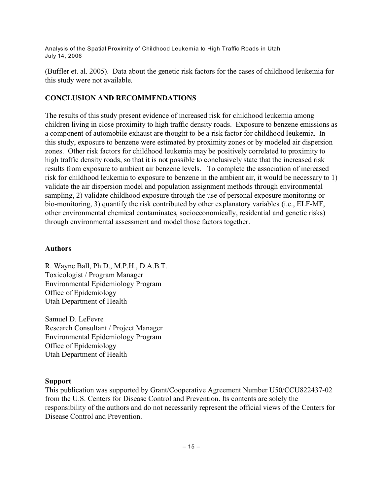(Buffler et. al. 2005). Data about the genetic risk factors for the cases of childhood leukemia for this study were not available.

# **CONCLUSION AND RECOMMENDATIONS**

The results of this study present evidence of increased risk for childhood leukemia among children living in close proximity to high traffic density roads. Exposure to benzene emissions as a component of automobile exhaust are thought to be a risk factor for childhood leukemia. In this study, exposure to benzene were estimated by proximity zones or by modeled air dispersion zones. Other risk factors for childhood leukemia may be positively correlated to proximity to high traffic density roads, so that it is not possible to conclusively state that the increased risk results from exposure to ambient air benzene levels. To complete the association of increased risk for childhood leukemia to exposure to benzene in the ambient air, it would be necessary to 1) validate the air dispersion model and population assignment methods through environmental sampling, 2) validate childhood exposure through the use of personal exposure monitoring or bio-monitoring, 3) quantify the risk contributed by other explanatory variables (i.e., ELF-MF, other environmental chemical contaminates, socioeconomically, residential and genetic risks) through environmental assessment and model those factors together.

### **Authors**

R. Wayne Ball, Ph.D., M.P.H., D.A.B.T. Toxicologist / Program Manager Environmental Epidemiology Program Office of Epidemiology Utah Department of Health

Samuel D. LeFevre Research Consultant / Project Manager Environmental Epidemiology Program Office of Epidemiology Utah Department of Health

# **Support**

This publication was supported by Grant/Cooperative Agreement Number U50/CCU822437-02 from the U.S. Centers for Disease Control and Prevention. Its contents are solely the responsibility of the authors and do not necessarily represent the official views of the Centers for Disease Control and Prevention.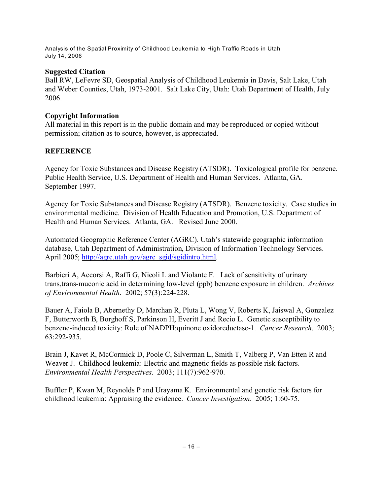### **Suggested Citation**

Ball RW, LeFevre SD, Geospatial Analysis of Childhood Leukemia in Davis, Salt Lake, Utah and Weber Counties, Utah, 1973-2001. Salt Lake City, Utah: Utah Department of Health, July 2006.

## **Copyright Information**

All material in this report is in the public domain and may be reproduced or copied without permission; citation as to source, however, is appreciated.

# **REFERENCE**

Agency for Toxic Substances and Disease Registry (ATSDR). Toxicological profile for benzene. Public Health Service, U.S. Department of Health and Human Services. Atlanta, GA. September 1997.

Agency for Toxic Substances and Disease Registry (ATSDR). Benzene toxicity. Case studies in environmental medicine. Division of Health Education and Promotion, U.S. Department of Health and Human Services. Atlanta, GA. Revised June 2000.

Automated Geographic Reference Center (AGRC). Utah's statewide geographic information database, Utah Department of Administration, Division of Information Technology Services. April 2005; [http://agrc.utah.gov/agrc\\_sgid/sgidintro.html](http://agrc.utah.gov/agrc_sgid/sgidintro.html).

Barbieri A, Accorsi A, Raffi G, Nicoli L and Violante F. Lack of sensitivity of urinary trans,trans-muconic acid in determining low-level (ppb) benzene exposure in children. *Archives of Environmental Health*. 2002; 57(3):224-228.

Bauer A, Faiola B, Abernethy D, Marchan R, Pluta L, Wong V, Roberts K, Jaiswal A, Gonzalez F, Butterworth B, Borghoff S, Parkinson H, Everitt J and Recio L. Genetic susceptibility to benzene-induced toxicity: Role of NADPH:quinone oxidoreductase-1. *Cancer Research*. 2003; 63:292-935.

Brain J, Kavet R, McCormick D, Poole C, Silverman L, Smith T, Valberg P, Van Etten R and Weaver J. Childhood leukemia: Electric and magnetic fields as possible risk factors. *Environmental Health Perspectives*. 2003; 111(7):962-970.

Buffler P, Kwan M, Reynolds P and Urayama K. Environmental and genetic risk factors for childhood leukemia: Appraising the evidence. *Cancer Investigation*. 2005; 1:60-75.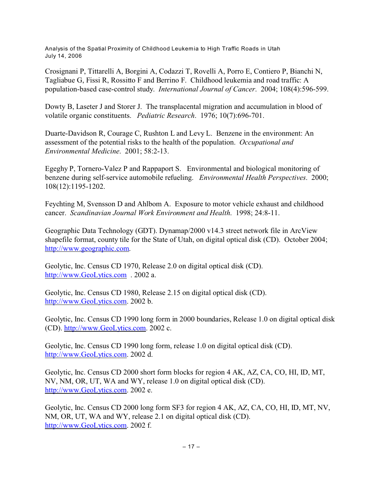Crosignani P, Tittarelli A, Borgini A, Codazzi T, Rovelli A, Porro E, Contiero P, Bianchi N, Tagliabue G, Fissi R, Rossitto F and Berrino F. Childhood leukemia and road traffic: A population-based case-control study. *International Journal of Cancer*. 2004; 108(4):596-599.

Dowty B, Laseter J and Storer J. The transplacental migration and accumulation in blood of volatile organic constituents. *Pediatric Research*. 1976; 10(7):696-701.

Duarte-Davidson R, Courage C, Rushton L and Levy L. Benzene in the environment: An assessment of the potential risks to the health of the population. *Occupational and Environmental Medicine*. 2001; 58:2-13.

Egeghy P, Tornero-Valez P and Rappaport S. Environmental and biological monitoring of benzene during self-service automobile refueling. *Environmental Health Perspectives*. 2000; 108(12):1195-1202.

Feychting M, Svensson D and Ahlbom A. Exposure to motor vehicle exhaust and childhood cancer. *Scandinavian Journal Work Environment and Health*. 1998; 24:8-11.

Geographic Data Technology (GDT). Dynamap/2000 v14.3 street network file in ArcView shapefile format, county tile for the State of Utah, on digital optical disk (CD). October 2004; <http://www.geographic.com>.

Geolytic, Inc. Census CD 1970, Release 2.0 on digital optical disk (CD). <http://www.GeoLytics.com> . 2002 a.

Geolytic, Inc. Census CD 1980, Release 2.15 on digital optical disk (CD). <http://www.GeoLytics.com>. 2002 b.

Geolytic, Inc. Census CD 1990 long form in 2000 boundaries, Release 1.0 on digital optical disk (CD).<http://www.GeoLytics.com>. 2002 c.

Geolytic, Inc. Census CD 1990 long form, release 1.0 on digital optical disk (CD). <http://www.GeoLytics.com>. 2002 d.

Geolytic, Inc. Census CD 2000 short form blocks for region 4 AK, AZ, CA, CO, HI, ID, MT, NV, NM, OR, UT, WA and WY, release 1.0 on digital optical disk (CD). <http://www.GeoLytics.com>. 2002 e.

Geolytic, Inc. Census CD 2000 long form SF3 for region 4 AK, AZ, CA, CO, HI, ID, MT, NV, NM, OR, UT, WA and WY, release 2.1 on digital optical disk (CD). <http://www.GeoLytics.com>. 2002 f.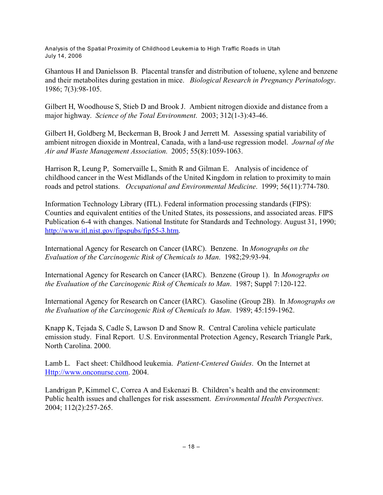Ghantous H and Danielsson B. Placental transfer and distribution of toluene, xylene and benzene and their metabolites during gestation in mice. *Biological Research in Pregnancy Perinatology*. 1986; 7(3):98-105.

Gilbert H, Woodhouse S, Stieb D and Brook J. Ambient nitrogen dioxide and distance from a major highway. *Science of the Total Environment*. 2003; 312(1-3):43-46.

Gilbert H, Goldberg M, Beckerman B, Brook J and Jerrett M. Assessing spatial variability of ambient nitrogen dioxide in Montreal, Canada, with a land-use regression model. *Journal of the Air and Waste Management Association*. 2005; 55(8):1059-1063.

Harrison R, Leung P, Somervaille L, Smith R and Gilman E. Analysis of incidence of childhood cancer in the West Midlands of the United Kingdom in relation to proximity to main roads and petrol stations. *Occupational and Environmental Medicine*. 1999; 56(11):774-780.

Information Technology Library (ITL). Federal information processing standards (FIPS): Counties and equivalent entities of the United States, its possessions, and associated areas. FIPS Publication 6-4 with changes. National Institute for Standards and Technology. August 31, 1990; <http://www.itl.nist.gov/fipspubs/fip55-3.htm>.

International Agency for Research on Cancer (IARC). Benzene. In *Monographs on the Evaluation of the Carcinogenic Risk of Chemicals to Man*. 1982;29:93-94.

International Agency for Research on Cancer (IARC). Benzene (Group 1). In *Monographs on the Evaluation of the Carcinogenic Risk of Chemicals to Man*. 1987; Suppl 7:120-122.

International Agency for Research on Cancer (IARC). Gasoline (Group 2B). In *Monographs on the Evaluation of the Carcinogenic Risk of Chemicals to Man*. 1989; 45:159-1962.

Knapp K, Tejada S, Cadle S, Lawson D and Snow R. Central Carolina vehicle particulate emission study. Final Report. U.S. Environmental Protection Agency, Research Triangle Park, North Carolina. 2000.

Lamb L. Fact sheet: Childhood leukemia. *Patient-Centered Guides*. On the Internet at [Http://www.onconurse.com](#page-17-0). 2004.

<span id="page-17-0"></span>Landrigan P, Kimmel C, Correa A and Eskenazi B. Children's health and the environment: Public health issues and challenges for risk assessment. *Environmental Health Perspectives*. 2004; 112(2):257-265.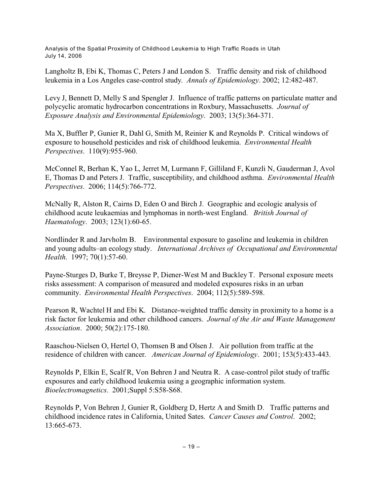Langholtz B, Ebi K, Thomas C, Peters J and London S. Traffic density and risk of childhood leukemia in a Los Angeles case-control study. *Annals of Epidemiology*. 2002; 12:482-487.

Levy J, Bennett D, Melly S and Spengler J. Influence of traffic patterns on particulate matter and polycyclic aromatic hydrocarbon concentrations in Roxbury, Massachusetts. *Journal of Exposure Analysis and Environmental Epidemiology*. 2003; 13(5):364-371.

Ma X, Buffler P, Gunier R, Dahl G, Smith M, Reinier K and Reynolds P. Critical windows of exposure to household pesticides and risk of childhood leukemia. *Environmental Health Perspectives*. 110(9):955-960.

McConnel R, Berhan K, Yao L, Jerret M, Lurmann F, Gilliland F, Kunzli N, Gauderman J, Avol E, Thomas D and Peters J. Traffic, susceptibility, and childhood asthma. *Environmental Health Perspectives*. 2006; 114(5):766-772.

McNally R, Alston R, Cairns D, Eden O and Birch J. Geographic and ecologic analysis of childhood acute leukaemias and lymphomas in north-west England. *British Journal of Haematology*. 2003; 123(1):60-65.

Nordlinder R and Jarvholm B. Environmental exposure to gasoline and leukemia in children and young adults–an ecology study. *International Archives of Occupational and Environmental Health*. 1997; 70(1):57-60.

Payne-Sturges D, Burke T, Breysse P, Diener-West M and Buckley T. Personal exposure meets risks assessment: A comparison of measured and modeled exposures risks in an urban community. *Environmental Health Perspectives*. 2004; 112(5):589-598.

Pearson R, Wachtel H and Ebi K. Distance-weighted traffic density in proximity to a home is a risk factor for leukemia and other childhood cancers. *Journal of the Air and Waste Management Association*. 2000; 50(2):175-180.

Raaschou-Nielsen O, Hertel O, Thomsen B and Olsen J. Air pollution from traffic at the residence of children with cancer. *American Journal of Epidemiology*. 2001; 153(5):433-443.

Reynolds P, Elkin E, Scalf R, Von Behren J and Neutra R. A case-control pilot study of traffic exposures and early childhood leukemia using a geographic information system. *Bioelectromagnetics*. 2001;Suppl 5:S58-S68.

Reynolds P, Von Behren J, Gunier R, Goldberg D, Hertz A and Smith D. Traffic patterns and childhood incidence rates in California, United Sates. *Cancer Causes and Control*. 2002; 13:665-673.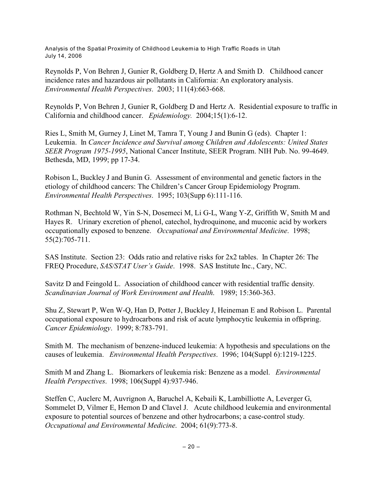Reynolds P, Von Behren J, Gunier R, Goldberg D, Hertz A and Smith D. Childhood cancer incidence rates and hazardous air pollutants in California: An exploratory analysis. *Environmental Health Perspectives*. 2003; 111(4):663-668.

Reynolds P, Von Behren J, Gunier R, Goldberg D and Hertz A. Residential exposure to traffic in California and childhood cancer. *Epidemiology.* 2004;15(1):6-12.

Ries L, Smith M, Gurney J, Linet M, Tamra T, Young J and Bunin G (eds). Chapter 1: Leukemia. In *Cancer Incidence and Survival among Children and Adolescents: United States SEER Program 1975-1995*, National Cancer Institute, SEER Program. NIH Pub. No. 99-4649. Bethesda, MD, 1999; pp 17-34.

Robison L, Buckley J and Bunin G. Assessment of environmental and genetic factors in the etiology of childhood cancers: The Children's Cancer Group Epidemiology Program. *Environmental Health Perspectives*. 1995; 103(Supp 6):111-116.

Rothman N, Bechtold W, Yin S-N, Dosemeci M, Li G-L, Wang Y-Z, Griffith W, Smith M and Hayes R. Urinary excretion of phenol, catechol, hydroquinone, and muconic acid by workers occupationally exposed to benzene. *Occupational and Environmental Medicine*. 1998; 55(2):705-711.

SAS Institute. Section 23: Odds ratio and relative risks for 2x2 tables. In Chapter 26: The FREQ Procedure, *SAS/STAT User's Guide*. 1998. SAS Institute Inc., Cary, NC.

Savitz D and Feingold L. Association of childhood cancer with residential traffic density. *Scandinavian Journal of Work Environment and Health*. 1989; 15:360-363.

Shu Z, Stewart P, Wen W-Q, Han D, Potter J, Buckley J, Heineman E and Robison L. Parental occupational exposure to hydrocarbons and risk of acute lymphocytic leukemia in offspring. *Cancer Epidemiology*. 1999; 8:783-791.

Smith M. The mechanism of benzene-induced leukemia: A hypothesis and speculations on the causes of leukemia. *Environmental Health Perspectives*. 1996; 104(Suppl 6):1219-1225.

Smith M and Zhang L. Biomarkers of leukemia risk: Benzene as a model. *Environmental Health Perspectives*. 1998; 106(Suppl 4):937-946.

Steffen C, Auclerc M, Auvrignon A, Baruchel A, Kebaili K, Lambilliotte A, Leverger G, Sommelet D, Vilmer E, Hemon D and Clavel J. Acute childhood leukemia and environmental exposure to potential sources of benzene and other hydrocarbons; a case-control study. *Occupational and Environmental Medicine*. 2004; 61(9):773-8.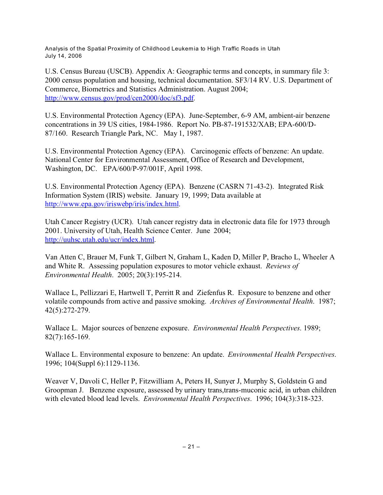U.S. Census Bureau (USCB). Appendix A: Geographic terms and concepts, in summary file 3: 2000 census population and housing, technical documentation. SF3/14 RV. U.S. Department of Commerce, Biometrics and Statistics Administration. August 2004; [http://www.census.gov/prod/cen2000/doc/sf3.pdf](http://www.census.gov/prod/cen2000/doc/sf3.pdf.html).

U.S. Environmental Protection Agency (EPA). June-September, 6-9 AM, ambient-air benzene concentrations in 39 US cities, 1984-1986. Report No. PB-87-191532/XAB; EPA-600/D-87/160. Research Triangle Park, NC. May 1, 1987.

U.S. Environmental Protection Agency (EPA). Carcinogenic effects of benzene: An update. National Center for Environmental Assessment, Office of Research and Development, Washington, DC. EPA/600/P-97/001F, April 1998.

U.S. Environmental Protection Agency (EPA). Benzene (CASRN 71-43-2). Integrated Risk Information System (IRIS) website. January 19, 1999; Data available at [http://www.epa.gov/iriswebp/iris/index.html](#page-20-0).

Utah Cancer Registry (UCR). Utah cancer registry data in electronic data file for 1973 through 2001. University of Utah, Health Science Center. June 2004; <http://uuhsc.utah.edu/ucr/index.html>.

Van Atten C, Brauer M, Funk T, Gilbert N, Graham L, Kaden D, Miller P, Bracho L, Wheeler A and White R. Assessing population exposures to motor vehicle exhaust. *Reviews of Environmental Health*. 2005; 20(3):195-214.

Wallace L, Pellizzari E, Hartwell T, Perritt R and Ziefenfus R. Exposure to benzene and other volatile compounds from active and passive smoking. *Archives of Environmental Health*. 1987; 42(5):272-279.

Wallace L. Major sources of benzene exposure. *Environmental Health Perspectives*. 1989; 82(7):165-169.

Wallace L. Environmental exposure to benzene: An update. *Environmental Health Perspectives*. 1996; 104(Suppl 6):1129-1136.

<span id="page-20-0"></span>Weaver V, Davoli C, Heller P, Fitzwilliam A, Peters H, Sunyer J, Murphy S, Goldstein G and Groopman J. Benzene exposure, assessed by urinary trans,trans-muconic acid, in urban children with elevated blood lead levels. *Environmental Health Perspectives*. 1996; 104(3):318-323.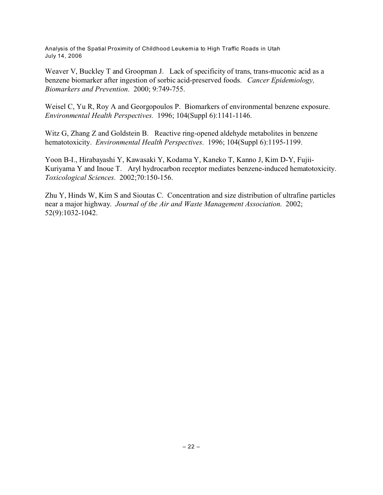Weaver V, Buckley T and Groopman J. Lack of specificity of trans, trans-muconic acid as a benzene biomarker after ingestion of sorbic acid-preserved foods. *Cancer Epidemiology, Biomarkers and Prevention*. 2000; 9:749-755.

Weisel C, Yu R, Roy A and Georgopoulos P. Biomarkers of environmental benzene exposure. *Environmental Health Perspectives.* 1996; 104(Suppl 6):1141-1146.

Witz G, Zhang Z and Goldstein B. Reactive ring-opened aldehyde metabolites in benzene hematotoxicity. *Environmental Health Perspectives*. 1996; 104(Suppl 6):1195-1199.

Yoon B-I., Hirabayashi Y, Kawasaki Y, Kodama Y, Kaneko T, Kanno J, Kim D-Y, Fujii-Kuriyama Y and Inoue T. Aryl hydrocarbon receptor mediates benzene-induced hematotoxicity. *Toxicological Sciences*. 2002;70:150-156.

Zhu Y, Hinds W, Kim S and Sioutas C. Concentration and size distribution of ultrafine particles near a major highway. *Journal of the Air and Waste Management Association*. 2002; 52(9):1032-1042.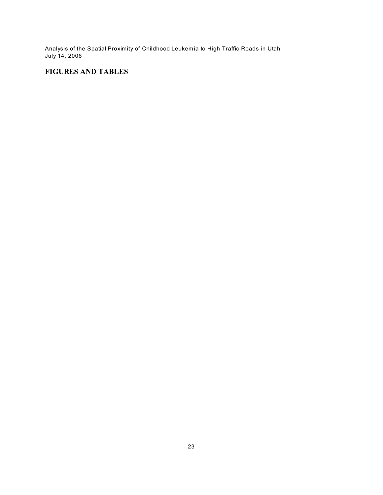# **FIGURES AND TABLES**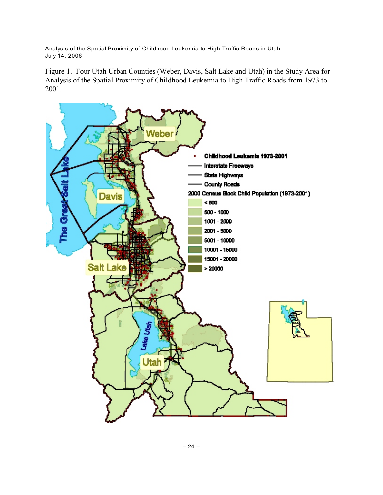Figure 1. Four Utah Urban Counties (Weber, Davis, Salt Lake and Utah) in the Study Area for Analysis of the Spatial Proximity of Childhood Leukemia to High Traffic Roads from 1973 to 2001.

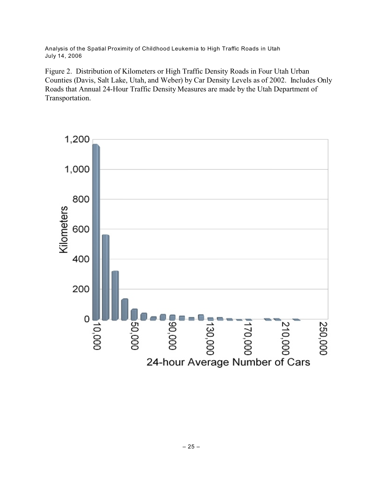Figure 2. Distribution of Kilometers or High Traffic Density Roads in Four Utah Urban Counties (Davis, Salt Lake, Utah, and Weber) by Car Density Levels as of 2002. Includes Only Roads that Annual 24-Hour Traffic Density Measures are made by the Utah Department of Transportation.

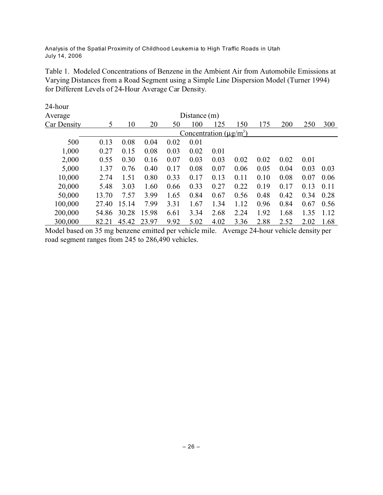Table 1. Modeled Concentrations of Benzene in the Ambient Air from Automobile Emissions at Varying Distances from a Road Segment using a Simple Line Dispersion Model (Turner 1994) for Different Levels of 24-Hour Average Car Density.

| 24-hour     |       |       |       |      |                |                                                 |      |      |      |      |      |
|-------------|-------|-------|-------|------|----------------|-------------------------------------------------|------|------|------|------|------|
| Average     |       |       |       |      | Distance $(m)$ |                                                 |      |      |      |      |      |
| Car Density | 5     | 10    | 20    | 50   | 100            | 125                                             | 150  | 175  | 200  | 250  | 300  |
|             |       |       |       |      |                | <u>Concentration</u> ( $\mu$ g/m <sup>3</sup> ) |      |      |      |      |      |
| 500         | 0.13  | 0.08  | 0.04  | 0.02 | 0.01           |                                                 |      |      |      |      |      |
| 1,000       | 0.27  | 0.15  | 0.08  | 0.03 | 0.02           | 0.01                                            |      |      |      |      |      |
| 2,000       | 0.55  | 0.30  | 0.16  | 0.07 | 0.03           | 0.03                                            | 0.02 | 0.02 | 0.02 | 0.01 |      |
| 5,000       | 1.37  | 0.76  | 0.40  | 0.17 | 0.08           | 0.07                                            | 0.06 | 0.05 | 0.04 | 0.03 | 0.03 |
| 10,000      | 2.74  | 1.51  | 0.80  | 0.33 | 0.17           | 0.13                                            | 0.11 | 0.10 | 0.08 | 0.07 | 0.06 |
| 20,000      | 5.48  | 3.03  | 1.60  | 0.66 | 0.33           | 0.27                                            | 0.22 | 0.19 | 0.17 | 0.13 | 0.11 |
| 50,000      | 13.70 | 7.57  | 3.99  | 1.65 | 0.84           | 0.67                                            | 0.56 | 0.48 | 0.42 | 0.34 | 0.28 |
| 100,000     | 27.40 | 15.14 | 7.99  | 3.31 | 1.67           | 1.34                                            | 1.12 | 0.96 | 0.84 | 0.67 | 0.56 |
| 200,000     | 54.86 | 30.28 | 15.98 | 6.61 | 3.34           | 2.68                                            | 2.24 | 1.92 | 1.68 | 1.35 | 1.12 |
| 300,000     | 82.21 | 45.42 | 23.97 | 9.92 | 5.02           | 4.02                                            | 3.36 | 2.88 | 2.52 | 2.02 | 1.68 |

Model based on 35 mg benzene emitted per vehicle mile. Average 24-hour vehicle density per road segment ranges from 245 to 286,490 vehicles.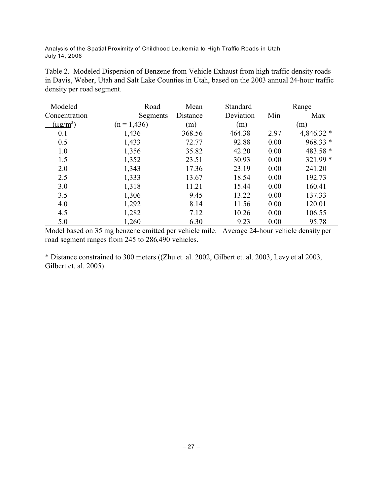Table 2. Modeled Dispersion of Benzene from Vehicle Exhaust from high traffic density roads in Davis, Weber, Utah and Salt Lake Counties in Utah, based on the 2003 annual 24-hour traffic density per road segment.

| Modeled       | Road          | Mean     | Standard  |      | Range       |
|---------------|---------------|----------|-----------|------|-------------|
| Concentration | Segments      | Distance | Deviation | Min  | Max         |
| $(\mu g/m^3)$ | $(n = 1,436)$ | (m)      | (m)       |      | (m)         |
| 0.1           | 1,436         | 368.56   | 464.38    | 2.97 | $4,846.32*$ |
| 0.5           | 1,433         | 72.77    | 92.88     | 0.00 | $968.33*$   |
| 1.0           | 1,356         | 35.82    | 42.20     | 0.00 | 483.58 *    |
| 1.5           | 1,352         | 23.51    | 30.93     | 0.00 | $321.99*$   |
| 2.0           | 1,343         | 17.36    | 23.19     | 0.00 | 241.20      |
| 2.5           | 1,333         | 13.67    | 18.54     | 0.00 | 192.73      |
| 3.0           | 1,318         | 11.21    | 15.44     | 0.00 | 160.41      |
| 3.5           | 1,306         | 9.45     | 13.22     | 0.00 | 137.33      |
| 4.0           | 1,292         | 8.14     | 11.56     | 0.00 | 120.01      |
| 4.5           | 1,282         | 7.12     | 10.26     | 0.00 | 106.55      |
| 5.0           | 1,260         | 6.30     | 9.23      | 0.00 | 95.78       |

Model based on 35 mg benzene emitted per vehicle mile. Average 24-hour vehicle density per road segment ranges from 245 to 286,490 vehicles.

\* Distance constrained to 300 meters ((Zhu et. al. 2002, Gilbert et. al. 2003, Levy et al 2003, Gilbert et. al. 2005).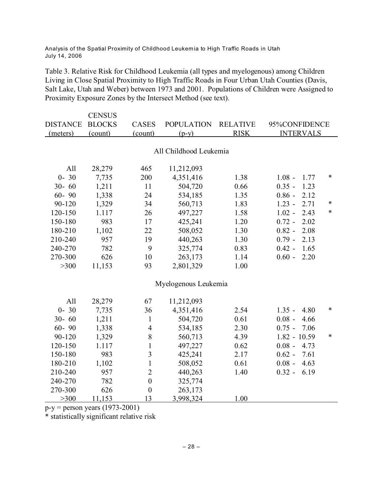Table 3. Relative Risk for Childhood Leukemia (all types and myelogenous) among Children Living in Close Spatial Proximity to High Traffic Roads in Four Urban Utah Counties (Davis, Salt Lake, Utah and Weber) between 1973 and 2001. Populations of Children were Assigned to Proximity Exposure Zones by the Intersect Method (see text).

|                 | <b>CENSUS</b> |                  |                        |                 |                  |        |
|-----------------|---------------|------------------|------------------------|-----------------|------------------|--------|
| <b>DISTANCE</b> | <b>BLOCKS</b> | <b>CASES</b>     | <b>POPULATION</b>      | <b>RELATIVE</b> | 95%CONFIDENCE    |        |
| (meters)        | (count)       | (count)          | $(p-y)$                | <b>RISK</b>     | <b>INTERVALS</b> |        |
|                 |               |                  |                        |                 |                  |        |
|                 |               |                  | All Childhood Leukemia |                 |                  |        |
| All             | 28,279        | 465              | 11,212,093             |                 |                  |        |
| $0 - 30$        | 7,735         | 200              | 4,351,416              | 1.38            | $1.08 -$<br>1.77 | $\ast$ |
| $30 - 60$       | 1,211         | 11               | 504,720                | 0.66            | $0.35 -$<br>1.23 |        |
| $60 - 90$       | 1,338         | 24               | 534,185                | 1.35            | $0.86 -$<br>2.12 |        |
| 90-120          | 1,329         | 34               | 560,713                | 1.83            | $1.23 -$<br>2.71 | $\ast$ |
| 120-150         | 1.117         | 26               | 497,227                | 1.58            | $1.02 -$<br>2.43 | $\ast$ |
| 150-180         | 983           | 17               | 425,241                | 1.20            | 2.02<br>$0.72 -$ |        |
| 180-210         | 1,102         | 22               | 508,052                | 1.30            | $0.82 -$<br>2.08 |        |
| 210-240         | 957           | 19               | 440,263                | 1.30            | $0.79 -$<br>2.13 |        |
|                 |               |                  |                        |                 |                  |        |
| 240-270         | 782           | 9                | 325,774                | 0.83            | 1.65<br>$0.42 -$ |        |
| 270-300         | 626           | 10               | 263,173                | 1.14            | $0.60 -$<br>2.20 |        |
| >300            | 11,153        | 93               | 2,801,329              | 1.00            |                  |        |
|                 |               |                  | Myelogenous Leukemia   |                 |                  |        |
| All             | 28,279        | 67               | 11,212,093             |                 |                  |        |
| $0 - 30$        | 7,735         | 36               | 4,351,416              | 2.54            | $1.35 -$<br>4.80 | $\ast$ |
| $30 - 60$       | 1,211         | $\mathbf{1}$     | 504,720                | 0.61            | $0.08 -$<br>4.66 |        |
| $60 - 90$       | 1,338         | $\overline{4}$   | 534,185                | 2.30            | $0.75 -$<br>7.06 |        |
| 90-120          | 1,329         | $8\,$            | 560,713                | 4.39            | $1.82 - 10.59$   | $\ast$ |
| 120-150         | 1.117         | $\mathbf{1}$     | 497,227                | 0.62            | $0.08 -$<br>4.73 |        |
| 150-180         | 983           | $\overline{3}$   | 425,241                | 2.17            | $0.62 -$<br>7.61 |        |
| 180-210         | 1,102         | $\mathbf{1}$     | 508,052                | 0.61            | $0.08 -$<br>4.63 |        |
| 210-240         | 957           | $\overline{2}$   |                        | 1.40            | 6.19<br>$0.32 -$ |        |
|                 |               | $\boldsymbol{0}$ | 440,263                |                 |                  |        |
| 240-270         | 782           |                  | 325,774                |                 |                  |        |
| 270-300         | 626           | $\boldsymbol{0}$ | 263,173                |                 |                  |        |
| $>300$          | 11,153        | 13               | 3,998,324              | 1.00            |                  |        |

 $p-y =$  person years (1973-2001)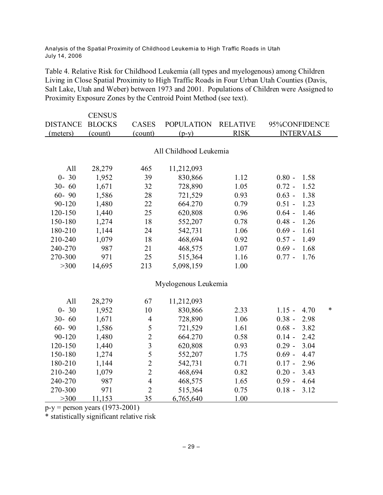Table 4. Relative Risk for Childhood Leukemia (all types and myelogenous) among Children Living in Close Spatial Proximity to High Traffic Roads in Four Urban Utah Counties (Davis, Salt Lake, Utah and Weber) between 1973 and 2001. Populations of Children were Assigned to Proximity Exposure Zones by the Centroid Point Method (see text).

|                 | <b>CENSUS</b> |                         |                        |                 |                       |
|-----------------|---------------|-------------------------|------------------------|-----------------|-----------------------|
| <b>DISTANCE</b> | <b>BLOCKS</b> | <b>CASES</b>            | <b>POPULATION</b>      | <b>RELATIVE</b> | 95%CONFIDENCE         |
| (meters)        | (count)       | (count)                 | $(p-y)$                | <b>RISK</b>     | <b>INTERVALS</b>      |
|                 |               |                         |                        |                 |                       |
|                 |               |                         | All Childhood Leukemia |                 |                       |
| All             | 28,279        | 465                     | 11,212,093             |                 |                       |
| $0 - 30$        | 1,952         | 39                      | 830,866                | 1.12            | $0.80 -$<br>1.58      |
| $30 - 60$       | 1,671         | 32                      | 728,890                | 1.05            | $0.72 -$<br>1.52      |
| $60 - 90$       | 1,586         | 28                      | 721,529                | 0.93            | $0.63 -$<br>1.38      |
| 90-120          | 1,480         | 22                      | 664.270                | 0.79            | $0.51 -$<br>1.23      |
| 120-150         | 1,440         | 25                      | 620,808                | 0.96            | 1.46<br>$0.64 -$      |
| 150-180         | 1,274         | 18                      | 552,207                | 0.78            | 1.26<br>$0.48 -$      |
| 180-210         | 1,144         | 24                      | 542,731                | 1.06            | $0.69 -$<br>1.61      |
| 210-240         | 1,079         | 18                      | 468,694                | 0.92            | 1.49<br>$0.57 -$      |
| 240-270         | 987           | 21                      | 468,575                | 1.07            | 1.68<br>$0.69 -$      |
| 270-300         | 971           | 25                      | 515,364                | 1.16            | 1.76<br>$0.77 -$      |
| >300            | 14,695        | 213                     | 5,098,159              | 1.00            |                       |
|                 |               |                         |                        |                 |                       |
|                 |               |                         | Myelogenous Leukemia   |                 |                       |
| All             | 28,279        | 67                      | 11,212,093             |                 |                       |
| $0 - 30$        | 1,952         | 10                      | 830,866                | 2.33            | $1.15 -$<br>∗<br>4.70 |
| $30 - 60$       | 1,671         | $\overline{4}$          | 728,890                | 1.06            | $0.38 -$<br>2.98      |
| $60 - 90$       | 1,586         | 5                       | 721,529                | 1.61            | $0.68 -$<br>3.82      |
| 90-120          | 1,480         | $\overline{c}$          | 664.270                | 0.58            | $0.14 -$<br>2.42      |
| 120-150         | 1,440         | $\overline{\mathbf{3}}$ | 620,808                | 0.93            | 3.04<br>$0.29 -$      |
| 150-180         | 1,274         | 5                       | 552,207                | 1.75            | 4.47<br>$0.69 -$      |
| 180-210         | 1,144         | $\overline{c}$          | 542,731                | 0.71            | 2.96<br>$0.17 -$      |
| 210-240         | 1,079         | $\overline{c}$          | 468,694                | 0.82            | $0.20 -$<br>3.43      |
| 240-270         | 987           | $\overline{4}$          | 468,575                | 1.65            | $0.59 -$<br>4.64      |
| 270-300         | 971           | $\overline{2}$          | 515,364                | 0.75            | $0.18 -$<br>3.12      |
| >300            | 11,153        | 35                      | 6,765,640              | 1.00            |                       |

 $p-y =$  person years (1973-2001)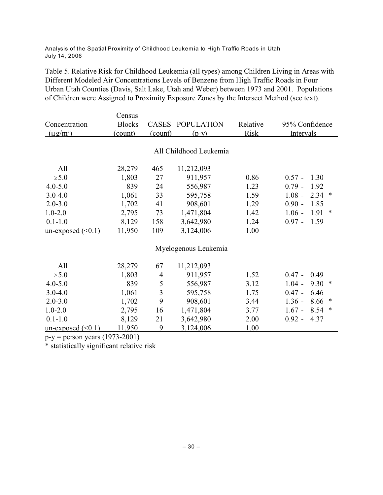Table 5. Relative Risk for Childhood Leukemia (all types) among Children Living in Areas with Different Modeled Air Concentrations Levels of Benzene from High Traffic Roads in Four Urban Utah Counties (Davis, Salt Lake, Utah and Weber) between 1973 and 2001. Populations of Children were Assigned to Proximity Exposure Zones by the Intersect Method (see text).

|                         | Census        |                |                        |             |                            |
|-------------------------|---------------|----------------|------------------------|-------------|----------------------------|
| Concentration           | <b>Blocks</b> | <b>CASES</b>   | <b>POPULATION</b>      | Relative    | 95% Confidence             |
| $(\mu g/m^3)$           | (count)       | (count)        | $(p-y)$                | <b>Risk</b> | Intervals                  |
|                         |               |                |                        |             |                            |
|                         |               |                | All Childhood Leukemia |             |                            |
| All                     | 28,279        | 465            | 11,212,093             |             |                            |
| $\geq 5.0$              | 1,803         | 27             | 911,957                | 0.86        | $0.57 -$<br>1.30           |
| $4.0 - 5.0$             | 839           | 24             | 556,987                | 1.23        | $0.79 -$<br>1.92           |
| $3.0 - 4.0$             | 1,061         | 33             | 595,758                | 1.59        | 2.34<br>$1.08 -$<br>$\ast$ |
| $2.0 - 3.0$             | 1,702         | 41             | 908,601                | 1.29        | $0.90 -$<br>1.85           |
| $1.0 - 2.0$             | 2,795         | 73             | 1,471,804              | 1.42        | 1.91<br>$1.06 -$<br>∗      |
| $0.1 - 1.0$             | 8,129         | 158            | 3,642,980              | 1.24        | $0.97 -$<br>1.59           |
| un-exposed $(\leq 0.1)$ | 11,950        | 109            | 3,124,006              | 1.00        |                            |
|                         |               |                | Myelogenous Leukemia   |             |                            |
| All                     | 28,279        | 67             | 11,212,093             |             |                            |
| $\geq 5.0$              | 1,803         | $\overline{4}$ | 911,957                | 1.52        | $0.47 -$<br>0.49           |
| $4.0 - 5.0$             | 839           | 5              | 556,987                | 3.12        | 9.30<br>$1.04 -$<br>$\ast$ |
| $3.0 - 4.0$             | 1,061         | 3              | 595,758                | 1.75        | $0.47 -$<br>6.46           |
| $2.0 - 3.0$             | 1,702         | 9              | 908,601                | 3.44        | $1.36 -$<br>8.66<br>∗      |
| $1.0 - 2.0$             | 2,795         | 16             | 1,471,804              | 3.77        | $1.67 -$<br>8.54<br>∗      |
| $0.1 - 1.0$             | 8,129         | 21             | 3,642,980              | 2.00        | $0.92 -$<br>4.37           |
| $un-exposed (\leq 0.1)$ | 11,950        | 9              | 3,124,006              | 1.00        |                            |

 $p-y =$  person years (1973-2001)